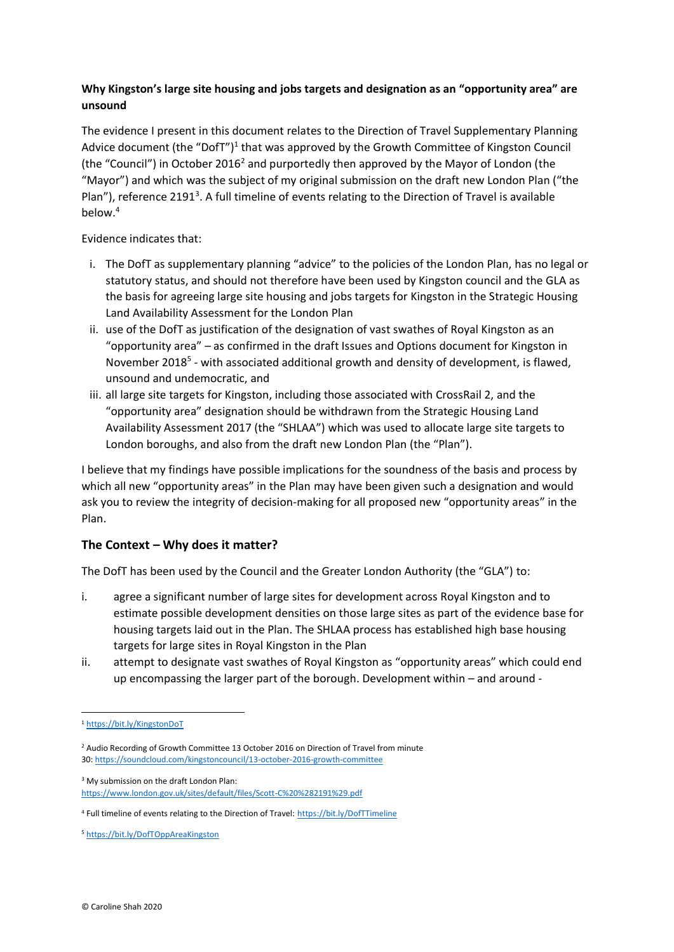## **Why Kingston's large site housing and jobs targets and designation as an "opportunity area" are unsound**

The evidence I present in this document relates to the Direction of Travel Supplementary Planning Advice document (the "DofT")<sup>1</sup> that was approved by the Growth Committee of Kingston Council (the "Council") in October 2016<sup>2</sup> and purportedly then approved by the Mayor of London (the "Mayor") and which was the subject of my original submission on the draft new London Plan ("the Plan"), reference 2191<sup>3</sup>. A full timeline of events relating to the Direction of Travel is available below.<sup>4</sup>

Evidence indicates that:

- i. The DofT as supplementary planning "advice" to the policies of the London Plan, has no legal or statutory status, and should not therefore have been used by Kingston council and the GLA as the basis for agreeing large site housing and jobs targets for Kingston in the Strategic Housing Land Availability Assessment for the London Plan
- ii. use of the DofT as justification of the designation of vast swathes of Royal Kingston as an "opportunity area" – as confirmed in the draft Issues and Options document for Kingston in November 2018<sup>5</sup> - with associated additional growth and density of development, is flawed, unsound and undemocratic, and
- iii. all large site targets for Kingston, including those associated with CrossRail 2, and the "opportunity area" designation should be withdrawn from the Strategic Housing Land Availability Assessment 2017 (the "SHLAA") which was used to allocate large site targets to London boroughs, and also from the draft new London Plan (the "Plan").

I believe that my findings have possible implications for the soundness of the basis and process by which all new "opportunity areas" in the Plan may have been given such a designation and would ask you to review the integrity of decision-making for all proposed new "opportunity areas" in the Plan.

# **The Context – Why does it matter?**

The DofT has been used by the Council and the Greater London Authority (the "GLA") to:

- i. agree a significant number of large sites for development across Royal Kingston and to estimate possible development densities on those large sites as part of the evidence base for housing targets laid out in the Plan. The SHLAA process has established high base housing targets for large sites in Royal Kingston in the Plan
- ii. attempt to designate vast swathes of Royal Kingston as "opportunity areas" which could end up encompassing the larger part of the borough. Development within – and around -

<sup>3</sup> My submission on the draft London Plan: <https://www.london.gov.uk/sites/default/files/Scott-C%20%282191%29.pdf>

<sup>1</sup> <https://bit.ly/KingstonDoT>

<sup>&</sup>lt;sup>2</sup> Audio Recording of Growth Committee 13 October 2016 on Direction of Travel from minute 30[: https://soundcloud.com/kingstoncouncil/13-october-2016-growth-committee](https://soundcloud.com/kingstoncouncil/13-october-2016-growth-committee)

<sup>&</sup>lt;sup>4</sup> Full timeline of events relating to the Direction of Travel: <https://bit.ly/DofTTimeline>

<sup>5</sup> <https://bit.ly/DofTOppAreaKingston>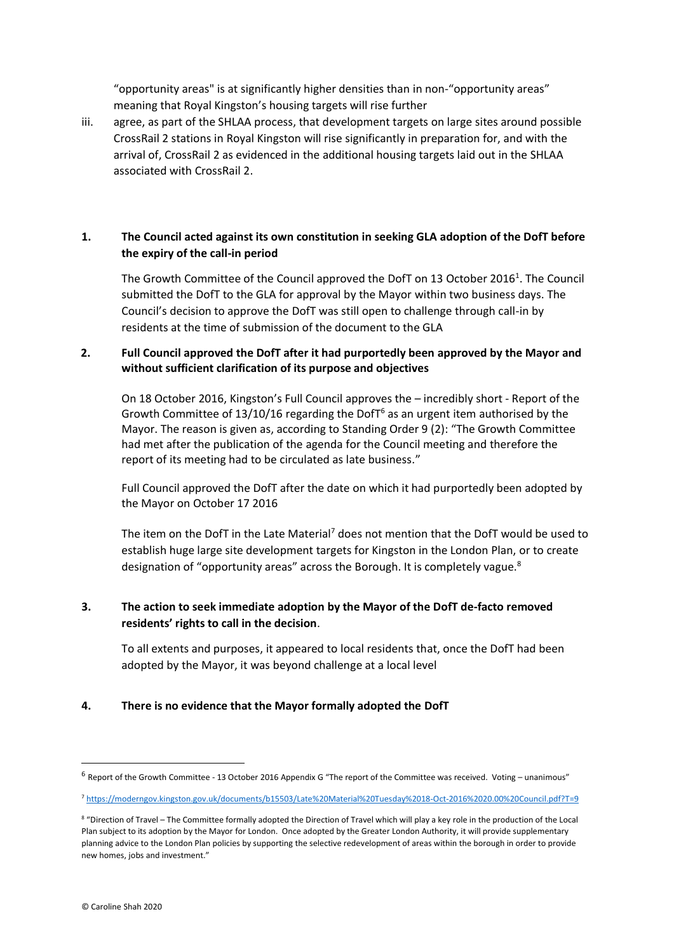"opportunity areas" is at significantly higher densities than in non-"opportunity areas" meaning that Royal Kingston's housing targets will rise further

iii. agree, as part of the SHLAA process, that development targets on large sites around possible CrossRail 2 stations in Royal Kingston will rise significantly in preparation for, and with the arrival of, CrossRail 2 as evidenced in the additional housing targets laid out in the SHLAA associated with CrossRail 2.

#### **1. The Council acted against its own constitution in seeking GLA adoption of the DofT before the expiry of the call-in period**

The Growth Committee of the Council approved the DofT on 13 October 2016<sup>1</sup>. The Council submitted the DofT to the GLA for approval by the Mayor within two business days. The Council's decision to approve the DofT was still open to challenge through call-in by residents at the time of submission of the document to the GLA

#### **2. Full Council approved the DofT after it had purportedly been approved by the Mayor and without sufficient clarification of its purpose and objectives**

On 18 October 2016, Kingston's Full Council approves the – incredibly short - Report of the Growth Committee of  $13/10/16$  regarding the DofT $6$  as an urgent item authorised by the Mayor. The reason is given as, according to Standing Order 9 (2): "The Growth Committee had met after the publication of the agenda for the Council meeting and therefore the report of its meeting had to be circulated as late business."

Full Council approved the DofT after the date on which it had purportedly been adopted by the Mayor on October 17 2016

The item on the DofT in the Late Material<sup>7</sup> does not mention that the DofT would be used to establish huge large site development targets for Kingston in the London Plan, or to create designation of "opportunity areas" across the Borough. It is completely vague.<sup>8</sup>

#### **3. The action to seek immediate adoption by the Mayor of the DofT de-facto removed residents' rights to call in the decision**.

To all extents and purposes, it appeared to local residents that, once the DofT had been adopted by the Mayor, it was beyond challenge at a local level

#### **4. There is no evidence that the Mayor formally adopted the DofT**

<sup>&</sup>lt;sup>6</sup> Report of the Growth Committee - 13 October 2016 Appendix G "The report of the Committee was received. Voting – unanimous"

<sup>7</sup> <https://moderngov.kingston.gov.uk/documents/b15503/Late%20Material%20Tuesday%2018-Oct-2016%2020.00%20Council.pdf?T=9>

<sup>8</sup> "Direction of Travel – The Committee formally adopted the Direction of Travel which will play a key role in the production of the Local Plan subject to its adoption by the Mayor for London. Once adopted by the Greater London Authority, it will provide supplementary planning advice to the London Plan policies by supporting the selective redevelopment of areas within the borough in order to provide new homes, jobs and investment."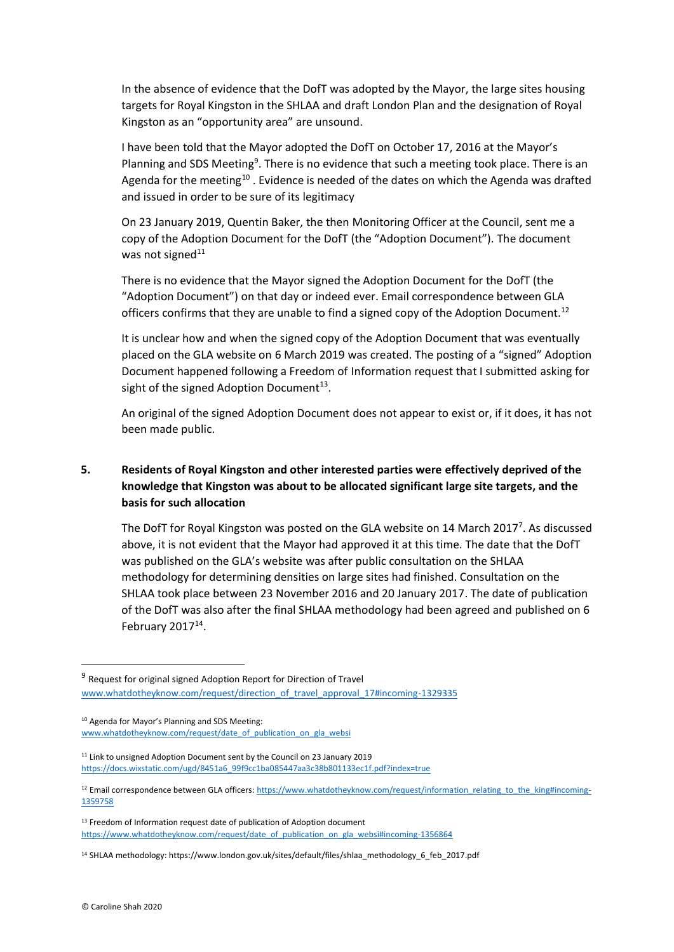In the absence of evidence that the DofT was adopted by the Mayor, the large sites housing targets for Royal Kingston in the SHLAA and draft London Plan and the designation of Royal Kingston as an "opportunity area" are unsound.

I have been told that the Mayor adopted the DofT on October 17, 2016 at the Mayor's Planning and SDS Meeting<sup>9</sup>. There is no evidence that such a meeting took place. There is an Agenda for the meeting<sup>10</sup>. Evidence is needed of the dates on which the Agenda was drafted and issued in order to be sure of its legitimacy

On 23 January 2019, Quentin Baker, the then Monitoring Officer at the Council, sent me a copy of the Adoption Document for the DofT (the "Adoption Document"). The document was not signed $11$ 

There is no evidence that the Mayor signed the Adoption Document for the DofT (the "Adoption Document") on that day or indeed ever. Email correspondence between GLA officers confirms that they are unable to find a signed copy of the Adoption Document.<sup>12</sup>

It is unclear how and when the signed copy of the Adoption Document that was eventually placed on the GLA website on 6 March 2019 was created. The posting of a "signed" Adoption Document happened following a Freedom of Information request that I submitted asking for sight of the signed Adoption Document $^{13}$ .

An original of the signed Adoption Document does not appear to exist or, if it does, it has not been made public.

## **5. Residents of Royal Kingston and other interested parties were effectively deprived of the knowledge that Kingston was about to be allocated significant large site targets, and the basis for such allocation**

The DofT for Royal Kingston was posted on the GLA website on 14 March 2017<sup>7</sup>. As discussed above, it is not evident that the Mayor had approved it at this time. The date that the DofT was published on the GLA's website was after public consultation on the SHLAA methodology for determining densities on large sites had finished. Consultation on the SHLAA took place between 23 November 2016 and 20 January 2017. The date of publication of the DofT was also after the final SHLAA methodology had been agreed and published on 6 February  $2017^{14}$ .

<sup>&</sup>lt;sup>9</sup> Request for original signed Adoption Report for Direction of Travel [www.whatdotheyknow.com/request/direction\\_of\\_travel\\_approval\\_17#incoming-1329335](http://www.whatdotheyknow.com/request/direction_of_travel_approval_17#incoming-1329335)

<sup>10</sup> Agenda for Mayor's Planning and SDS Meeting: [www.whatdotheyknow.com/request/date\\_of\\_publication\\_on\\_gla\\_websi](http://www.whatdotheyknow.com/request/date_of_publication_on_gla_websi)

<sup>&</sup>lt;sup>11</sup> Link to unsigned Adoption Document sent by the Council on 23 January 2019 [https://docs.wixstatic.com/ugd/8451a6\\_99f9cc1ba085447aa3c38b801133ec1f.pdf?index=true](https://docs.wixstatic.com/ugd/8451a6_99f9cc1ba085447aa3c38b801133ec1f.pdf?index=true)

<sup>&</sup>lt;sup>12</sup> Email correspondence between GLA officers[: https://www.whatdotheyknow.com/request/information\\_relating\\_to\\_the\\_king#incoming-](https://www.whatdotheyknow.com/request/information_relating_to_the_king#incoming-1359758)[1359758](https://www.whatdotheyknow.com/request/information_relating_to_the_king#incoming-1359758)

<sup>&</sup>lt;sup>13</sup> Freedom of Information request date of publication of Adoption document [https://www.whatdotheyknow.com/request/date\\_of\\_publication\\_on\\_gla\\_websi#incoming-1356864](https://www.whatdotheyknow.com/request/date_of_publication_on_gla_websi#incoming-1356864)

<sup>14</sup> SHLAA methodology: https://www.london.gov.uk/sites/default/files/shlaa\_methodology\_6\_feb\_2017.pdf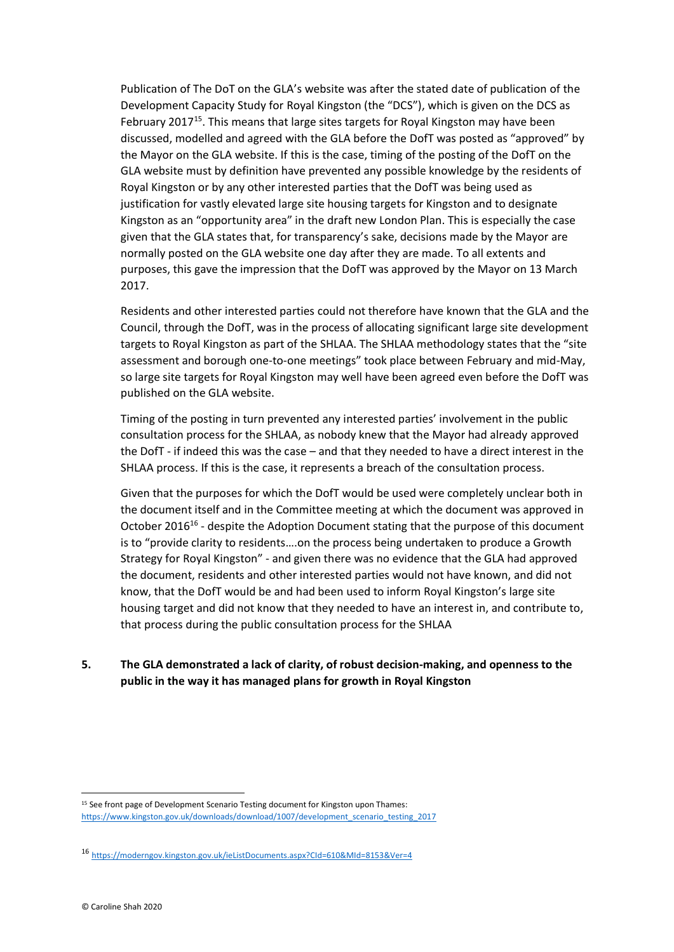Publication of The DoT on the GLA's website was after the stated date of publication of the Development Capacity Study for Royal Kingston (the "DCS"), which is given on the DCS as February 2017<sup>15</sup>. This means that large sites targets for Royal Kingston may have been discussed, modelled and agreed with the GLA before the DofT was posted as "approved" by the Mayor on the GLA website. If this is the case, timing of the posting of the DofT on the GLA website must by definition have prevented any possible knowledge by the residents of Royal Kingston or by any other interested parties that the DofT was being used as justification for vastly elevated large site housing targets for Kingston and to designate Kingston as an "opportunity area" in the draft new London Plan. This is especially the case given that the GLA states that, for transparency's sake, decisions made by the Mayor are normally posted on the GLA website one day after they are made. To all extents and purposes, this gave the impression that the DofT was approved by the Mayor on 13 March 2017.

Residents and other interested parties could not therefore have known that the GLA and the Council, through the DofT, was in the process of allocating significant large site development targets to Royal Kingston as part of the SHLAA. The SHLAA methodology states that the "site assessment and borough one-to-one meetings" took place between February and mid-May, so large site targets for Royal Kingston may well have been agreed even before the DofT was published on the GLA website.

Timing of the posting in turn prevented any interested parties' involvement in the public consultation process for the SHLAA, as nobody knew that the Mayor had already approved the DofT - if indeed this was the case – and that they needed to have a direct interest in the SHLAA process. If this is the case, it represents a breach of the consultation process.

Given that the purposes for which the DofT would be used were completely unclear both in the document itself and in the Committee meeting at which the document was approved in October 2016<sup>16</sup> - despite the Adoption Document stating that the purpose of this document is to "provide clarity to residents….on the process being undertaken to produce a Growth Strategy for Royal Kingston" - and given there was no evidence that the GLA had approved the document, residents and other interested parties would not have known, and did not know, that the DofT would be and had been used to inform Royal Kingston's large site housing target and did not know that they needed to have an interest in, and contribute to, that process during the public consultation process for the SHLAA

### **5. The GLA demonstrated a lack of clarity, of robust decision-making, and openness to the public in the way it has managed plans for growth in Royal Kingston**

<sup>&</sup>lt;sup>15</sup> See front page of Development Scenario Testing document for Kingston upon Thames: https://www.kingston.gov.uk/downloads/download/1007/development\_scenario\_testing\_2017

<sup>16</sup> <https://moderngov.kingston.gov.uk/ieListDocuments.aspx?CId=610&MId=8153&Ver=4>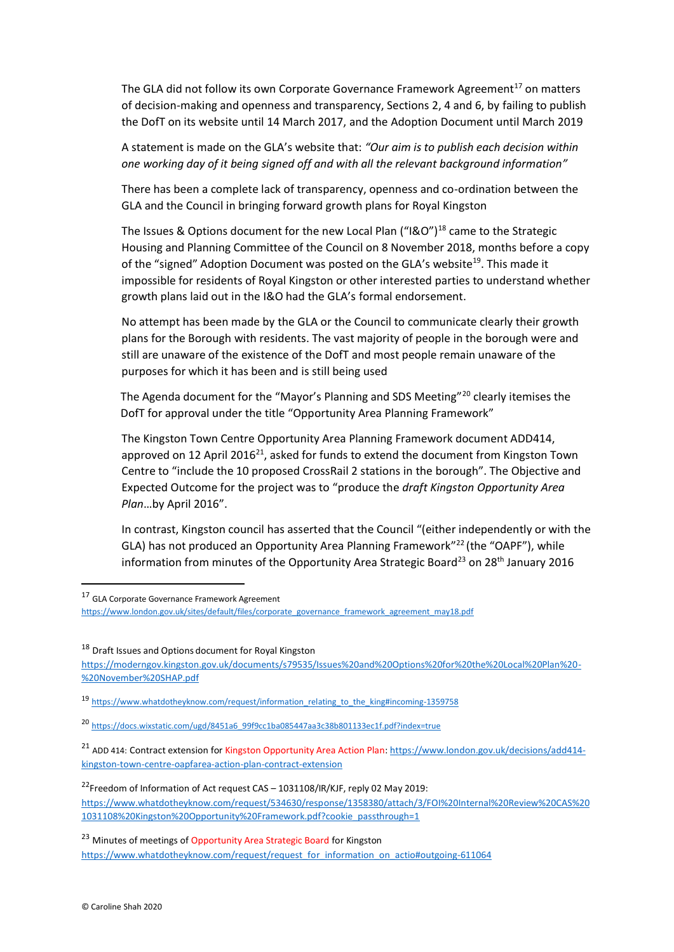The GLA did not follow its own Corporate Governance Framework Agreement<sup>17</sup> on matters of decision-making and openness and transparency, Sections 2, 4 and 6, by failing to publish the DofT on its website until 14 March 2017, and the Adoption Document until March 2019

A statement is made on the GLA's website that: *"Our aim is to publish each decision within one working day of it being signed off and with all the relevant background information"*

There has been a complete lack of transparency, openness and co-ordination between the GLA and the Council in bringing forward growth plans for Royal Kingston

The Issues & Options document for the new Local Plan ("I&O")<sup>18</sup> came to the Strategic Housing and Planning Committee of the Council on 8 November 2018, months before a copy of the "signed" Adoption Document was posted on the GLA's website<sup>19</sup>. This made it impossible for residents of Royal Kingston or other interested parties to understand whether growth plans laid out in the I&O had the GLA's formal endorsement.

No attempt has been made by the GLA or the Council to communicate clearly their growth plans for the Borough with residents. The vast majority of people in the borough were and still are unaware of the existence of the DofT and most people remain unaware of the purposes for which it has been and is still being used

The Agenda document for the "Mayor's Planning and SDS Meeting"<sup>20</sup> clearly itemises the DofT for approval under the title "Opportunity Area Planning Framework"

The Kingston Town Centre Opportunity Area Planning Framework document ADD414, approved on 12 April 2016<sup>21</sup>, asked for funds to extend the document from Kingston Town Centre to "include the 10 proposed CrossRail 2 stations in the borough". The Objective and Expected Outcome for the project was to "produce the *draft Kingston Opportunity Area Plan*…by April 2016".

In contrast, Kingston council has asserted that the Council "(either independently or with the GLA) has not produced an Opportunity Area Planning Framework<sup>"22</sup> (the "OAPF"), while information from minutes of the Opportunity Area Strategic Board<sup>23</sup> on 28<sup>th</sup> January 2016

<sup>18</sup> Draft Issues and Options document for Royal Kingston

[https://moderngov.kingston.gov.uk/documents/s79535/Issues%20and%20Options%20for%20the%20Local%20Plan%20-](https://moderngov.kingston.gov.uk/documents/s79535/Issues%20and%20Options%20for%20the%20Local%20Plan%20-%20November%20SHAP.pdf) [%20November%20SHAP.pdf](https://moderngov.kingston.gov.uk/documents/s79535/Issues%20and%20Options%20for%20the%20Local%20Plan%20-%20November%20SHAP.pdf)

19 [https://www.whatdotheyknow.com/request/information\\_relating\\_to\\_the\\_king#incoming-1359758](https://www.whatdotheyknow.com/request/information_relating_to_the_king#incoming-1359758)

<sup>17</sup> GLA Corporate Governance Framework Agreement

[https://www.london.gov.uk/sites/default/files/corporate\\_governance\\_framework\\_agreement\\_may18.pdf](https://www.london.gov.uk/sites/default/files/corporate_governance_framework_agreement_may18.pdf)

<sup>20</sup> [https://docs.wixstatic.com/ugd/8451a6\\_99f9cc1ba085447aa3c38b801133ec1f.pdf?index=true](https://docs.wixstatic.com/ugd/8451a6_99f9cc1ba085447aa3c38b801133ec1f.pdf?index=true)

<sup>&</sup>lt;sup>21</sup> ADD 414: Contract extension for Kingston Opportunity Area Action Plan[: https://www.london.gov.uk/decisions/add414](https://www.london.gov.uk/decisions/add414-kingston-town-centre-oapfarea-action-plan-contract-extension) [kingston-town-centre-oapfarea-action-plan-contract-extension](https://www.london.gov.uk/decisions/add414-kingston-town-centre-oapfarea-action-plan-contract-extension)

<sup>&</sup>lt;sup>22</sup>Freedom of Information of Act request CAS - 1031108/IR/KJF, reply 02 May 2019: [https://www.whatdotheyknow.com/request/534630/response/1358380/attach/3/FOI%20Internal%20Review%20CAS%20](https://www.whatdotheyknow.com/request/534630/response/1358380/attach/3/FOI%20Internal%20Review%20CAS%201031108%20Kingston%20Opportunity%20Framework.pdf?cookie_passthrough=1) [1031108%20Kingston%20Opportunity%20Framework.pdf?cookie\\_passthrough=1](https://www.whatdotheyknow.com/request/534630/response/1358380/attach/3/FOI%20Internal%20Review%20CAS%201031108%20Kingston%20Opportunity%20Framework.pdf?cookie_passthrough=1)

<sup>&</sup>lt;sup>23</sup> Minutes of meetings of Opportunity Area Strategic Board for Kingston [https://www.whatdotheyknow.com/request/request\\_for\\_information\\_on\\_actio#outgoing-611064](https://www.whatdotheyknow.com/request/request_for_information_on_actio#outgoing-611064)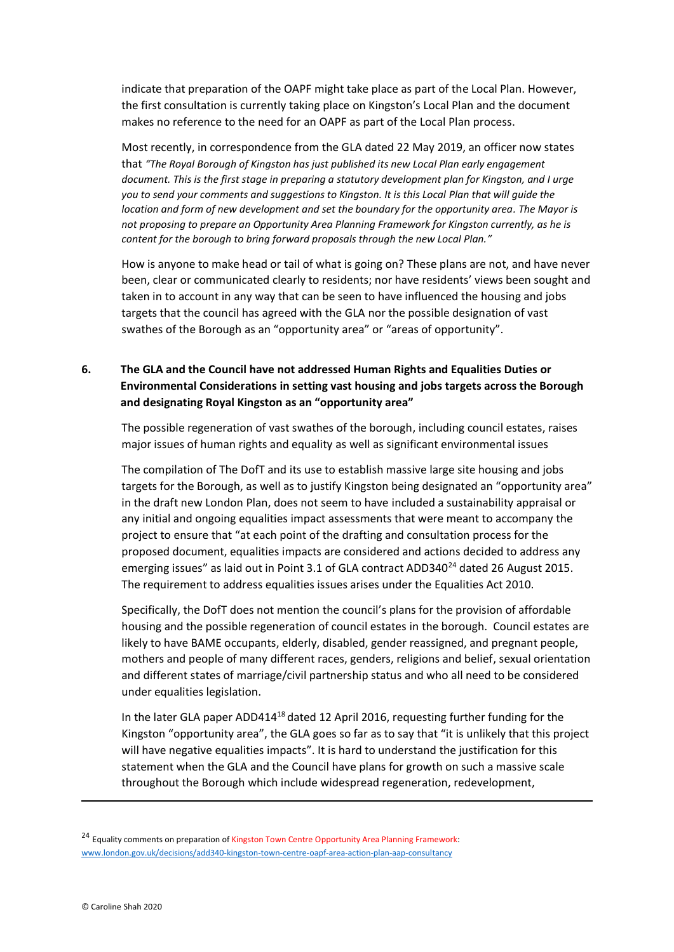indicate that preparation of the OAPF might take place as part of the Local Plan. However, the first consultation is currently taking place on Kingston's Local Plan and the document makes no reference to the need for an OAPF as part of the Local Plan process.

Most recently, in correspondence from the GLA dated 22 May 2019, an officer now states that *"The Royal Borough of Kingston has just published its new Local Plan early engagement document. This is the first stage in preparing a statutory development plan for Kingston, and I urge you to send your comments and suggestions to Kingston. It is this Local Plan that will guide the location and form of new development and set the boundary for the opportunity area. The Mayor is not proposing to prepare an Opportunity Area Planning Framework for Kingston currently, as he is content for the borough to bring forward proposals through the new Local Plan."*

How is anyone to make head or tail of what is going on? These plans are not, and have never been, clear or communicated clearly to residents; nor have residents' views been sought and taken in to account in any way that can be seen to have influenced the housing and jobs targets that the council has agreed with the GLA nor the possible designation of vast swathes of the Borough as an "opportunity area" or "areas of opportunity".

## **6. The GLA and the Council have not addressed Human Rights and Equalities Duties or Environmental Considerations in setting vast housing and jobs targets across the Borough and designating Royal Kingston as an "opportunity area"**

The possible regeneration of vast swathes of the borough, including council estates, raises major issues of human rights and equality as well as significant environmental issues

The compilation of The DofT and its use to establish massive large site housing and jobs targets for the Borough, as well as to justify Kingston being designated an "opportunity area" in the draft new London Plan, does not seem to have included a sustainability appraisal or any initial and ongoing equalities impact assessments that were meant to accompany the project to ensure that "at each point of the drafting and consultation process for the proposed document, equalities impacts are considered and actions decided to address any emerging issues" as laid out in Point 3.1 of GLA contract ADD340 $^{24}$  dated 26 August 2015. The requirement to address equalities issues arises under the Equalities Act 2010.

Specifically, the DofT does not mention the council's plans for the provision of affordable housing and the possible regeneration of council estates in the borough. Council estates are likely to have BAME occupants, elderly, disabled, gender reassigned, and pregnant people, mothers and people of many different races, genders, religions and belief, sexual orientation and different states of marriage/civil partnership status and who all need to be considered under equalities legislation.

In the later GLA paper ADD414 $18$  dated 12 April 2016, requesting further funding for the Kingston "opportunity area", the GLA goes so far as to say that "it is unlikely that this project will have negative equalities impacts". It is hard to understand the justification for this statement when the GLA and the Council have plans for growth on such a massive scale throughout the Borough which include widespread regeneration, redevelopment,

<sup>&</sup>lt;sup>24</sup> Equality comments on preparation of Kingston Town Centre Opportunity Area Planning Framework: [www.london.gov.uk/decisions/add340-kingston-town-centre-oapf-area-action-plan-aap-consultancy](http://www.london.gov.uk/decisions/add340-kingston-town-centre-oapf-area-action-plan-aap-consultancy)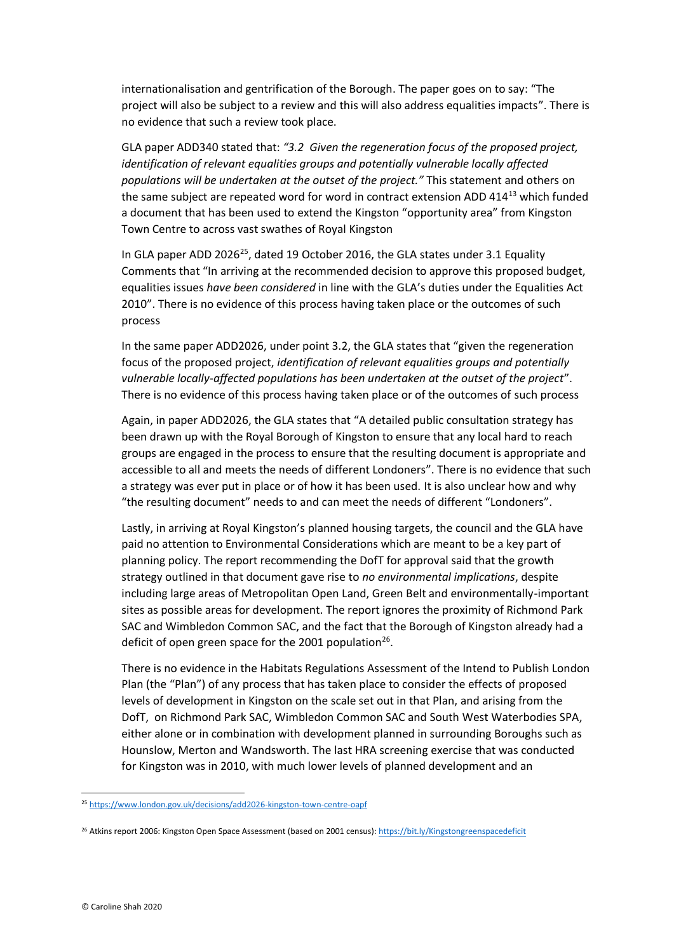internationalisation and gentrification of the Borough. The paper goes on to say: "The project will also be subject to a review and this will also address equalities impacts". There is no evidence that such a review took place.

GLA paper ADD340 stated that: *"3.2 Given the regeneration focus of the proposed project, identification of relevant equalities groups and potentially vulnerable locally affected populations will be undertaken at the outset of the project."* This statement and others on the same subject are repeated word for word in contract extension ADD 414<sup>13</sup> which funded a document that has been used to extend the Kingston "opportunity area" from Kingston Town Centre to across vast swathes of Royal Kingston

In GLA paper ADD 2026<sup>25</sup>, dated 19 October 2016, the GLA states under 3.1 Equality Comments that "In arriving at the recommended decision to approve this proposed budget, equalities issues *have been considered* in line with the GLA's duties under the Equalities Act 2010". There is no evidence of this process having taken place or the outcomes of such process

In the same paper ADD2026, under point 3.2, the GLA states that "given the regeneration focus of the proposed project, *identification of relevant equalities groups and potentially vulnerable locally-affected populations has been undertaken at the outset of the project*". There is no evidence of this process having taken place or of the outcomes of such process

Again, in paper ADD2026, the GLA states that "A detailed public consultation strategy has been drawn up with the Royal Borough of Kingston to ensure that any local hard to reach groups are engaged in the process to ensure that the resulting document is appropriate and accessible to all and meets the needs of different Londoners". There is no evidence that such a strategy was ever put in place or of how it has been used. It is also unclear how and why "the resulting document" needs to and can meet the needs of different "Londoners".

Lastly, in arriving at Royal Kingston's planned housing targets, the council and the GLA have paid no attention to Environmental Considerations which are meant to be a key part of planning policy. The report recommending the DofT for approval said that the growth strategy outlined in that document gave rise to *no environmental implications*, despite including large areas of Metropolitan Open Land, Green Belt and environmentally-important sites as possible areas for development. The report ignores the proximity of Richmond Park SAC and Wimbledon Common SAC, and the fact that the Borough of Kingston already had a deficit of open green space for the 2001 population<sup>26</sup>.

There is no evidence in the Habitats Regulations Assessment of the Intend to Publish London Plan (the "Plan") of any process that has taken place to consider the effects of proposed levels of development in Kingston on the scale set out in that Plan, and arising from the DofT, on Richmond Park SAC, Wimbledon Common SAC and South West Waterbodies SPA, either alone or in combination with development planned in surrounding Boroughs such as Hounslow, Merton and Wandsworth. The last HRA screening exercise that was conducted for Kingston was in 2010, with much lower levels of planned development and an

<sup>25</sup> <https://www.london.gov.uk/decisions/add2026-kingston-town-centre-oapf>

<sup>&</sup>lt;sup>26</sup> Atkins report 2006: Kingston Open Space Assessment (based on 2001 census)[: https://bit.ly/Kingstongreenspacedeficit](https://bit.ly/Kingstongreenspacedeficit)